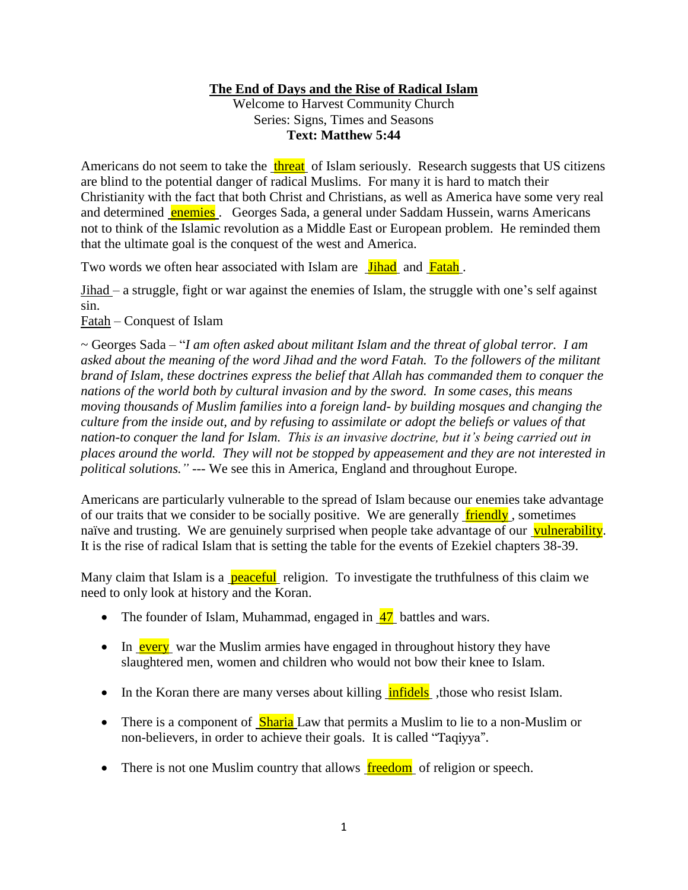# **The End of Days and the Rise of Radical Islam**

Welcome to Harvest Community Church Series: Signs, Times and Seasons **Text: Matthew 5:44**

Americans do not seem to take the threat of Islam seriously. Research suggests that US citizens are blind to the potential danger of radical Muslims. For many it is hard to match their Christianity with the fact that both Christ and Christians, as well as America have some very real and determined **enemies**. Georges Sada, a general under Saddam Hussein, warns Americans not to think of the Islamic revolution as a Middle East or European problem. He reminded them that the ultimate goal is the conquest of the west and America.

Two words we often hear associated with Islam are **Jihad** and Fatah.

Jihad – a struggle, fight or war against the enemies of Islam, the struggle with one's self against sin.

Fatah – Conquest of Islam

~ Georges Sada – "*I am often asked about militant Islam and the threat of global terror. I am asked about the meaning of the word Jihad and the word Fatah. To the followers of the militant brand of Islam, these doctrines express the belief that Allah has commanded them to conquer the nations of the world both by cultural invasion and by the sword. In some cases, this means moving thousands of Muslim families into a foreign land- by building mosques and changing the culture from the inside out, and by refusing to assimilate or adopt the beliefs or values of that nation-to conquer the land for Islam. This is an invasive doctrine, but it's being carried out in places around the world. They will not be stopped by appeasement and they are not interested in political solutions."* --- We see this in America, England and throughout Europe.

Americans are particularly vulnerable to the spread of Islam because our enemies take advantage of our traits that we consider to be socially positive. We are generally  $\theta$  friendly, sometimes naïve and trusting. We are genuinely surprised when people take advantage of our vulnerability. It is the rise of radical Islam that is setting the table for the events of Ezekiel chapters 38-39.

Many claim that Islam is a **peaceful** religion. To investigate the truthfulness of this claim we need to only look at history and the Koran.

- The founder of Islam, Muhammad, engaged in  $\frac{47}{10}$  battles and wars.
- In every war the Muslim armies have engaged in throughout history they have slaughtered men, women and children who would not bow their knee to Islam.
- $\bullet$  In the Koran there are many verses about killing  $\overline{\text{infidels}}$ , those who resist Islam.
- There is a component of **Sharia** Law that permits a Muslim to lie to a non-Muslim or non-believers, in order to achieve their goals. It is called "Taqiyya".
- $\bullet$  There is not one Muslim country that allows freedom of religion or speech.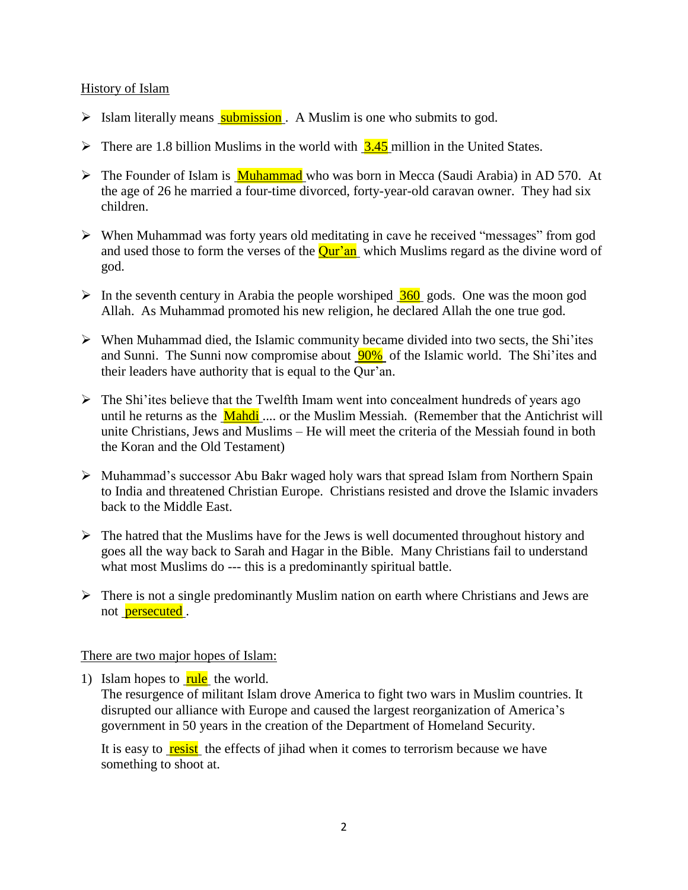#### History of Islam

- $\triangleright$  Islam literally means submission. A Muslim is one who submits to god.
- $\triangleright$  There are 1.8 billion Muslims in the world with  $3.45$  million in the United States.
- $\triangleright$  The Founder of Islam is **Muhammad** who was born in Mecca (Saudi Arabia) in AD 570. At the age of 26 he married a four-time divorced, forty-year-old caravan owner. They had six children.
- When Muhammad was forty years old meditating in cave he received "messages" from god and used those to form the verses of the **Qur'an** which Muslims regard as the divine word of god.
- $\triangleright$  In the seventh century in Arabia the people worshiped  $\frac{360}{100}$  gods. One was the moon god Allah. As Muhammad promoted his new religion, he declared Allah the one true god.
- $\triangleright$  When Muhammad died, the Islamic community became divided into two sects, the Shi'ites and Sunni. The Sunni now compromise about 90% of the Islamic world. The Shi'ites and their leaders have authority that is equal to the Qur'an.
- $\triangleright$  The Shi'ites believe that the Twelfth Imam went into concealment hundreds of years ago until he returns as the Mahdi .... or the Muslim Messiah. (Remember that the Antichrist will unite Christians, Jews and Muslims – He will meet the criteria of the Messiah found in both the Koran and the Old Testament)
- Muhammad's successor Abu Bakr waged holy wars that spread Islam from Northern Spain to India and threatened Christian Europe. Christians resisted and drove the Islamic invaders back to the Middle East.
- $\triangleright$  The hatred that the Muslims have for the Jews is well documented throughout history and goes all the way back to Sarah and Hagar in the Bible. Many Christians fail to understand what most Muslims do --- this is a predominantly spiritual battle.
- $\triangleright$  There is not a single predominantly Muslim nation on earth where Christians and Jews are not **persecuted**.

### There are two major hopes of Islam:

1) Islam hopes to  $\frac{rule}{rule}{0.6cm}$  the world.

The resurgence of militant Islam drove America to fight two wars in Muslim countries. It disrupted our alliance with Europe and caused the largest reorganization of America's government in 50 years in the creation of the Department of Homeland Security.

It is easy to resist the effects of jihad when it comes to terrorism because we have something to shoot at.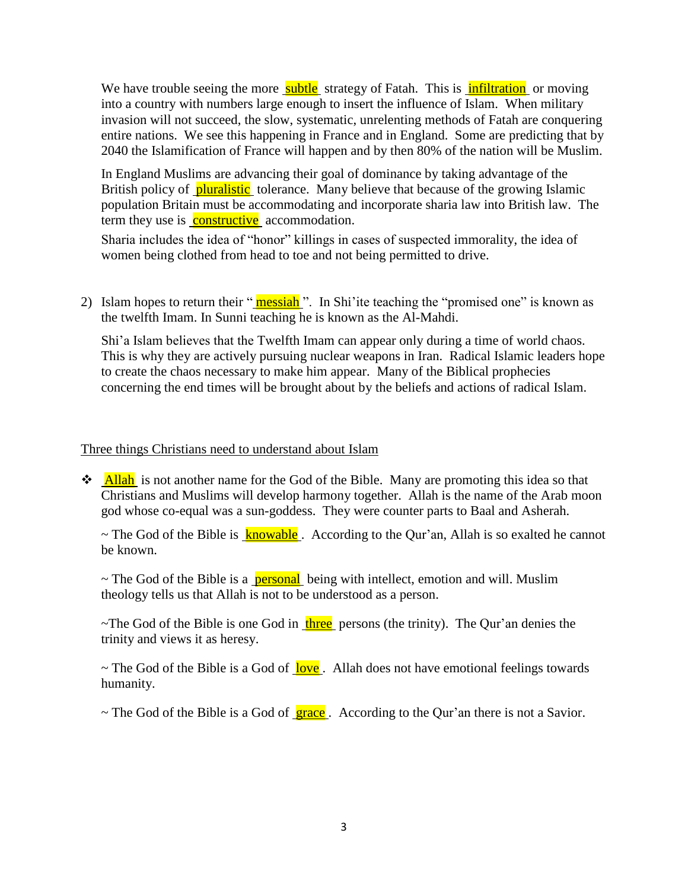We have trouble seeing the more **subtle** strategy of Fatah. This is **infiltration** or moving into a country with numbers large enough to insert the influence of Islam. When military invasion will not succeed, the slow, systematic, unrelenting methods of Fatah are conquering entire nations. We see this happening in France and in England. Some are predicting that by 2040 the Islamification of France will happen and by then 80% of the nation will be Muslim.

In England Muslims are advancing their goal of dominance by taking advantage of the British policy of pluralistic tolerance. Many believe that because of the growing Islamic population Britain must be accommodating and incorporate sharia law into British law. The term they use is **constructive** accommodation.

Sharia includes the idea of "honor" killings in cases of suspected immorality, the idea of women being clothed from head to toe and not being permitted to drive.

2) Islam hopes to return their " messiah". In Shi'ite teaching the "promised one" is known as the twelfth Imam. In Sunni teaching he is known as the Al-Mahdi.

Shi'a Islam believes that the Twelfth Imam can appear only during a time of world chaos. This is why they are actively pursuing nuclear weapons in Iran. Radical Islamic leaders hope to create the chaos necessary to make him appear. Many of the Biblical prophecies concerning the end times will be brought about by the beliefs and actions of radical Islam.

### Three things Christians need to understand about Islam

 $\triangleleft$  Allah is not another name for the God of the Bible. Many are promoting this idea so that Christians and Muslims will develop harmony together. Allah is the name of the Arab moon god whose co-equal was a sun-goddess. They were counter parts to Baal and Asherah.

 $\sim$  The God of the Bible is knowable. According to the Our'an, Allah is so exalted he cannot be known.

 $\sim$  The God of the Bible is a **personal** being with intellect, emotion and will. Muslim theology tells us that Allah is not to be understood as a person.

 $\sim$ The God of the Bible is one God in three persons (the trinity). The Qur'an denies the trinity and views it as heresy.

 $\sim$  The God of the Bible is a God of love. Allah does not have emotional feelings towards humanity.

 $\sim$  The God of the Bible is a God of  $\frac{\text{grace}}{\text{grace}}$ . According to the Qur'an there is not a Savior.